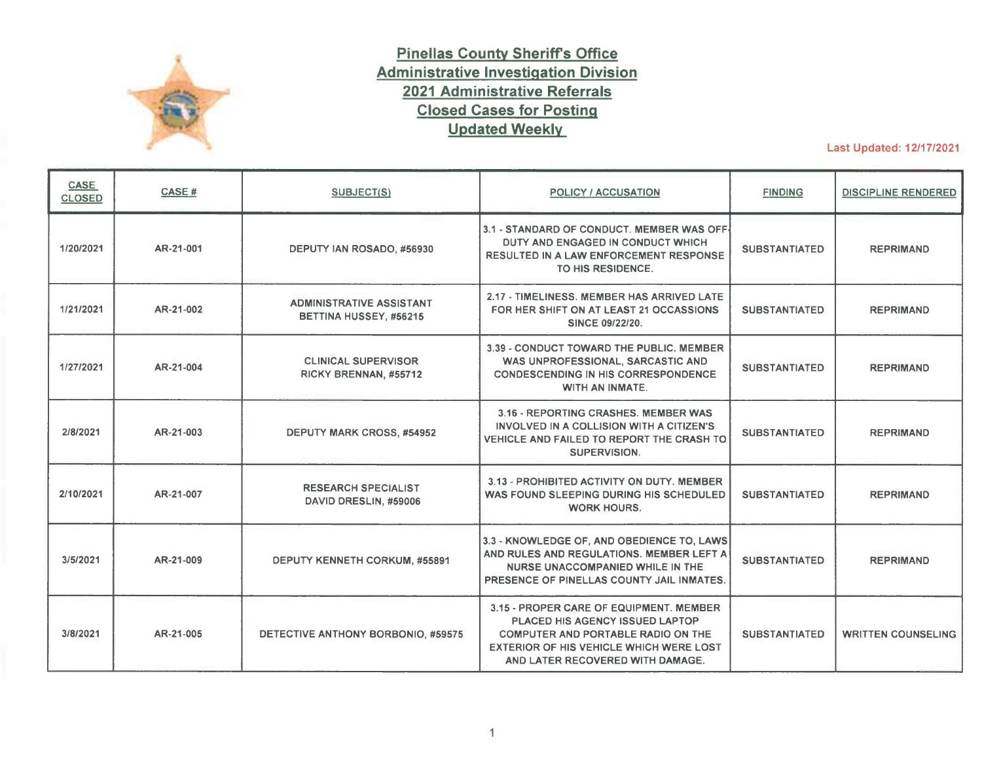

## **Pinellas County Sheriffs Office Administrative Investigation Division 2021 Administrative Referrals Closed Cases for Posting Updated Weekly**

Last Updated: 12/17/2021

| <b>CASE</b><br><b>CLOSED</b> | CASE #    | <b>SUBJECT(S)</b>                                         | POLICY / ACCUSATION                                                                                                                                                                                    | <b>FINDING</b>       | <b>DISCIPLINE RENDERED</b> |
|------------------------------|-----------|-----------------------------------------------------------|--------------------------------------------------------------------------------------------------------------------------------------------------------------------------------------------------------|----------------------|----------------------------|
| 1/20/2021                    | AR-21-001 | DEPUTY IAN ROSADO, #56930                                 | 3.1 - STANDARD OF CONDUCT. MEMBER WAS OFF-<br>DUTY AND ENGAGED IN CONDUCT WHICH<br><b>RESULTED IN A LAW ENFORCEMENT RESPONSE</b><br>TO HIS RESIDENCE.                                                  | <b>SUBSTANTIATED</b> | <b>REPRIMAND</b>           |
| 1/21/2021                    | AR-21-002 | <b>ADMINISTRATIVE ASSISTANT</b><br>BETTINA HUSSEY, #56215 | 2.17 - TIMELINESS, MEMBER HAS ARRIVED LATE<br>FOR HER SHIFT ON AT LEAST 21 OCCASSIONS<br>SINCE 09/22/20.                                                                                               | <b>SUBSTANTIATED</b> | <b>REPRIMAND</b>           |
| 1/27/2021                    | AR-21-004 | <b>CLINICAL SUPERVISOR</b><br>RICKY BRENNAN, #55712       | 3.39 - CONDUCT TOWARD THE PUBLIC. MEMBER<br>WAS UNPROFESSIONAL, SARCASTIC AND<br><b>CONDESCENDING IN HIS CORRESPONDENCE</b><br>WITH AN INMATE.                                                         | <b>SUBSTANTIATED</b> | <b>REPRIMAND</b>           |
| 2/8/2021                     | AR-21-003 | <b>DEPUTY MARK CROSS, #54952</b>                          | 3.16 - REPORTING CRASHES, MEMBER WAS<br>INVOLVED IN A COLLISION WITH A CITIZEN'S<br>VEHICLE AND FAILED TO REPORT THE CRASH TO<br>SUPERVISION.                                                          | <b>SUBSTANTIATED</b> | <b>REPRIMAND</b>           |
| 2/10/2021                    | AR-21-007 | <b>RESEARCH SPECIALIST</b><br>DAVID DRESLIN, #59006       | 3.13 - PROHIBITED ACTIVITY ON DUTY, MEMBER<br>WAS FOUND SLEEPING DURING HIS SCHEDULED<br><b>WORK HOURS.</b>                                                                                            | <b>SUBSTANTIATED</b> | <b>REPRIMAND</b>           |
| 3/5/2021                     | AR-21-009 | DEPUTY KENNETH CORKUM, #55891                             | 3.3 - KNOWLEDGE OF, AND OBEDIENCE TO, LAWS<br>AND RULES AND REGULATIONS. MEMBER LEFT A<br>NURSE UNACCOMPANIED WHILE IN THE<br>PRESENCE OF PINELLAS COUNTY JAIL INMATES.                                | <b>SUBSTANTIATED</b> | <b>REPRIMAND</b>           |
| 3/8/2021                     | AR-21-005 | DETECTIVE ANTHONY BORBONIO, #59575                        | 3.15 - PROPER CARE OF EQUIPMENT. MEMBER<br>PLACED HIS AGENCY ISSUED LAPTOP<br>COMPUTER AND PORTABLE RADIO ON THE<br><b>EXTERIOR OF HIS VEHICLE WHICH WERE LOST</b><br>AND LATER RECOVERED WITH DAMAGE. | <b>SUBSTANTIATED</b> | <b>WRITTEN COUNSELING</b>  |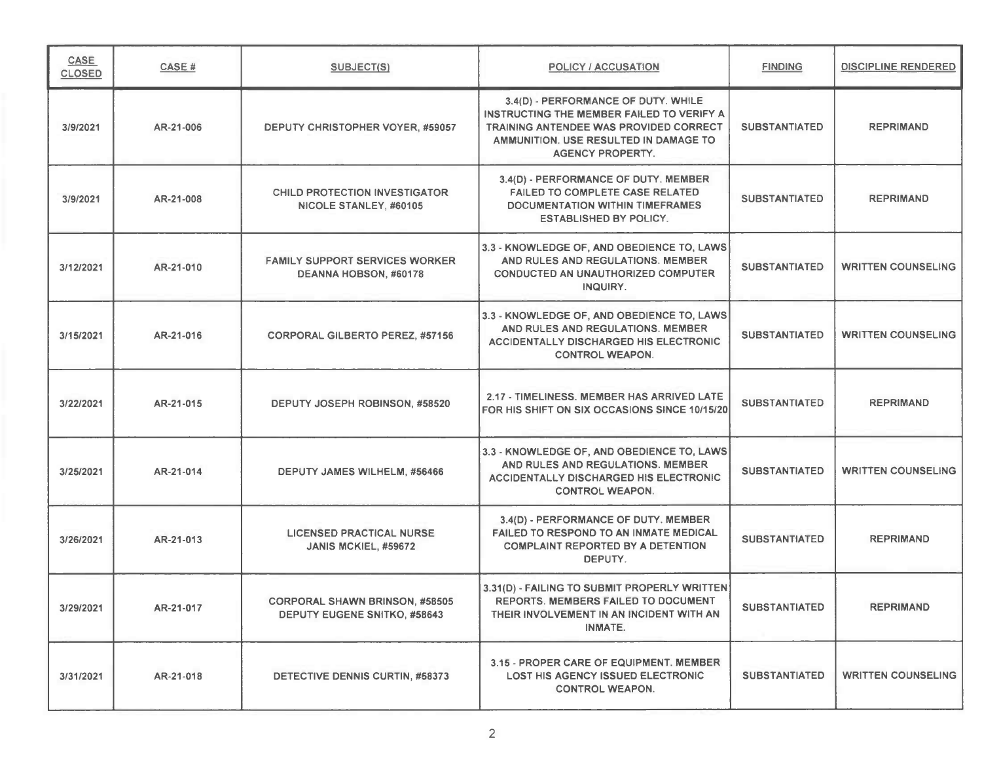| CASE<br><b>CLOSED</b> | CASE#     | SUBJECT(S)                                                            | <b>POLICY / ACCUSATION</b>                                                                                                                                                                            | <b>FINDING</b>       | <b>DISCIPLINE RENDERED</b> |
|-----------------------|-----------|-----------------------------------------------------------------------|-------------------------------------------------------------------------------------------------------------------------------------------------------------------------------------------------------|----------------------|----------------------------|
| 3/9/2021              | AR-21-006 | DEPUTY CHRISTOPHER VOYER, #59057                                      | 3.4(D) - PERFORMANCE OF DUTY. WHILE<br>INSTRUCTING THE MEMBER FAILED TO VERIFY A<br><b>TRAINING ANTENDEE WAS PROVIDED CORRECT</b><br>AMMUNITION. USE RESULTED IN DAMAGE TO<br><b>AGENCY PROPERTY.</b> | <b>SUBSTANTIATED</b> | <b>REPRIMAND</b>           |
| 3/9/2021              | AR-21-008 | <b>CHILD PROTECTION INVESTIGATOR</b><br>NICOLE STANLEY, #60105        | 3.4(D) - PERFORMANCE OF DUTY. MEMBER<br><b>FAILED TO COMPLETE CASE RELATED</b><br>DOCUMENTATION WITHIN TIMEFRAMES<br><b>ESTABLISHED BY POLICY.</b>                                                    | <b>SUBSTANTIATED</b> | <b>REPRIMAND</b>           |
| 3/12/2021             | AR-21-010 | <b>FAMILY SUPPORT SERVICES WORKER</b><br>DEANNA HOBSON, #60178        | 3.3 - KNOWLEDGE OF, AND OBEDIENCE TO, LAWS<br>AND RULES AND REGULATIONS. MEMBER<br><b>CONDUCTED AN UNAUTHORIZED COMPUTER</b><br>INQUIRY.                                                              | <b>SUBSTANTIATED</b> | <b>WRITTEN COUNSELING</b>  |
| 3/15/2021             | AR-21-016 | <b>CORPORAL GILBERTO PEREZ, #57156</b>                                | 3.3 - KNOWLEDGE OF, AND OBEDIENCE TO, LAWS<br>AND RULES AND REGULATIONS. MEMBER<br><b>ACCIDENTALLY DISCHARGED HIS ELECTRONIC</b><br><b>CONTROL WEAPON.</b>                                            | <b>SUBSTANTIATED</b> | <b>WRITTEN COUNSELING</b>  |
| 3/22/2021             | AR-21-015 | DEPUTY JOSEPH ROBINSON, #58520                                        | 2.17 - TIMELINESS. MEMBER HAS ARRIVED LATE<br>FOR HIS SHIFT ON SIX OCCASIONS SINCE 10/15/20                                                                                                           | <b>SUBSTANTIATED</b> | <b>REPRIMAND</b>           |
| 3/25/2021             | AR-21-014 | DEPUTY JAMES WILHELM, #56466                                          | 3.3 - KNOWLEDGE OF, AND OBEDIENCE TO, LAWS<br>AND RULES AND REGULATIONS. MEMBER<br>ACCIDENTALLY DISCHARGED HIS ELECTRONIC<br><b>CONTROL WEAPON.</b>                                                   | <b>SUBSTANTIATED</b> | <b>WRITTEN COUNSELING</b>  |
| 3/26/2021             | AR-21-013 | <b>LICENSED PRACTICAL NURSE</b><br>JANIS MCKIEL, #59672               | 3.4(D) - PERFORMANCE OF DUTY. MEMBER<br><b>FAILED TO RESPOND TO AN INMATE MEDICAL</b><br><b>COMPLAINT REPORTED BY A DETENTION</b><br>DEPUTY.                                                          | <b>SUBSTANTIATED</b> | <b>REPRIMAND</b>           |
| 3/29/2021             | AR-21-017 | <b>CORPORAL SHAWN BRINSON, #58505</b><br>DEPUTY EUGENE SNITKO, #58643 | 3.31(D) - FAILING TO SUBMIT PROPERLY WRITTEN<br>REPORTS. MEMBERS FAILED TO DOCUMENT<br>THEIR INVOLVEMENT IN AN INCIDENT WITH AN<br><b>INMATE.</b>                                                     | <b>SUBSTANTIATED</b> | <b>REPRIMAND</b>           |
| 3/31/2021             | AR-21-018 | DETECTIVE DENNIS CURTIN, #58373                                       | 3.15 - PROPER CARE OF EQUIPMENT. MEMBER<br>LOST HIS AGENCY ISSUED ELECTRONIC<br><b>CONTROL WEAPON.</b>                                                                                                | <b>SUBSTANTIATED</b> | <b>WRITTEN COUNSELING</b>  |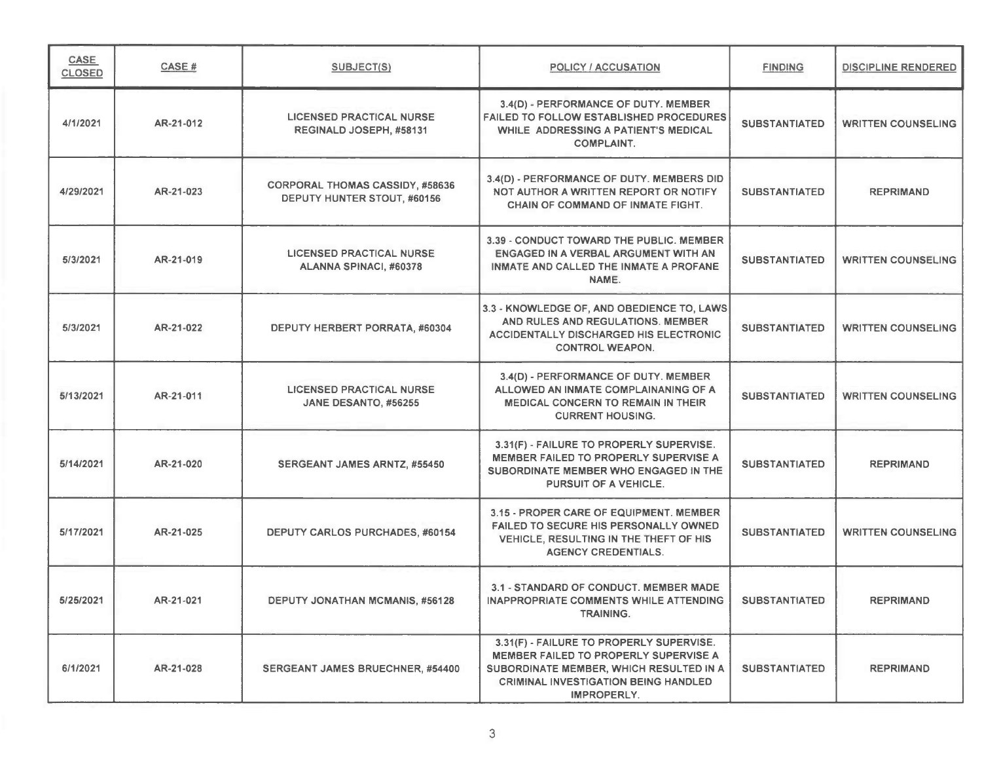| <b>CASE</b><br><b>CLOSED</b> | CASE#     | SUBJECT(S)                                                            | <b>POLICY / ACCUSATION</b>                                                                                                                                                                        | <b>FINDING</b>       | <b>DISCIPLINE RENDERED</b> |
|------------------------------|-----------|-----------------------------------------------------------------------|---------------------------------------------------------------------------------------------------------------------------------------------------------------------------------------------------|----------------------|----------------------------|
| 4/1/2021                     | AR-21-012 | <b>LICENSED PRACTICAL NURSE</b><br>REGINALD JOSEPH, #58131            | 3.4(D) - PERFORMANCE OF DUTY. MEMBER<br><b>FAILED TO FOLLOW ESTABLISHED PROCEDURES</b><br>WHILE ADDRESSING A PATIENT'S MEDICAL<br><b>COMPLAINT.</b>                                               | <b>SUBSTANTIATED</b> | <b>WRITTEN COUNSELING</b>  |
| 4/29/2021                    | AR-21-023 | <b>CORPORAL THOMAS CASSIDY, #58636</b><br>DEPUTY HUNTER STOUT, #60156 | 3.4(D) - PERFORMANCE OF DUTY. MEMBERS DID<br>NOT AUTHOR A WRITTEN REPORT OR NOTIFY<br><b>CHAIN OF COMMAND OF INMATE FIGHT.</b>                                                                    | <b>SUBSTANTIATED</b> | <b>REPRIMAND</b>           |
| 5/3/2021                     | AR-21-019 | <b>LICENSED PRACTICAL NURSE</b><br>ALANNA SPINACI, #60378             | 3.39 - CONDUCT TOWARD THE PUBLIC. MEMBER<br>ENGAGED IN A VERBAL ARGUMENT WITH AN<br>INMATE AND CALLED THE INMATE A PROFANE<br>NAME.                                                               | <b>SUBSTANTIATED</b> | <b>WRITTEN COUNSELING</b>  |
| 5/3/2021                     | AR-21-022 | DEPUTY HERBERT PORRATA, #60304                                        | 3.3 - KNOWLEDGE OF, AND OBEDIENCE TO, LAWS<br>AND RULES AND REGULATIONS. MEMBER<br><b>ACCIDENTALLY DISCHARGED HIS ELECTRONIC</b><br><b>CONTROL WEAPON.</b>                                        | <b>SUBSTANTIATED</b> | <b>WRITTEN COUNSELING</b>  |
| 5/13/2021                    | AR-21-011 | <b>LICENSED PRACTICAL NURSE</b><br>JANE DESANTO, #56255               | 3.4(D) - PERFORMANCE OF DUTY. MEMBER<br>ALLOWED AN INMATE COMPLAINANING OF A<br><b>MEDICAL CONCERN TO REMAIN IN THEIR</b><br><b>CURRENT HOUSING.</b>                                              | <b>SUBSTANTIATED</b> | <b>WRITTEN COUNSELING</b>  |
| 5/14/2021                    | AR-21-020 | SERGEANT JAMES ARNTZ, #55450                                          | 3.31(F) - FAILURE TO PROPERLY SUPERVISE.<br><b>MEMBER FAILED TO PROPERLY SUPERVISE A</b><br>SUBORDINATE MEMBER WHO ENGAGED IN THE<br>PURSUIT OF A VEHICLE.                                        | <b>SUBSTANTIATED</b> | <b>REPRIMAND</b>           |
| 5/17/2021                    | AR-21-025 | DEPUTY CARLOS PURCHADES, #60154                                       | 3.15 - PROPER CARE OF EQUIPMENT. MEMBER<br><b>FAILED TO SECURE HIS PERSONALLY OWNED</b><br>VEHICLE, RESULTING IN THE THEFT OF HIS<br><b>AGENCY CREDENTIALS.</b>                                   | <b>SUBSTANTIATED</b> | <b>WRITTEN COUNSELING</b>  |
| 5/25/2021                    | AR-21-021 | DEPUTY JONATHAN MCMANIS, #56128                                       | 3.1 - STANDARD OF CONDUCT. MEMBER MADE<br>INAPPROPRIATE COMMENTS WHILE ATTENDING<br><b>TRAINING.</b>                                                                                              | <b>SUBSTANTIATED</b> | <b>REPRIMAND</b>           |
| 6/1/2021                     | AR-21-028 | SERGEANT JAMES BRUECHNER, #54400                                      | 3.31(F) - FAILURE TO PROPERLY SUPERVISE.<br><b>MEMBER FAILED TO PROPERLY SUPERVISE A</b><br>SUBORDINATE MEMBER, WHICH RESULTED IN A<br><b>CRIMINAL INVESTIGATION BEING HANDLED</b><br>IMPROPERLY. | <b>SUBSTANTIATED</b> | <b>REPRIMAND</b>           |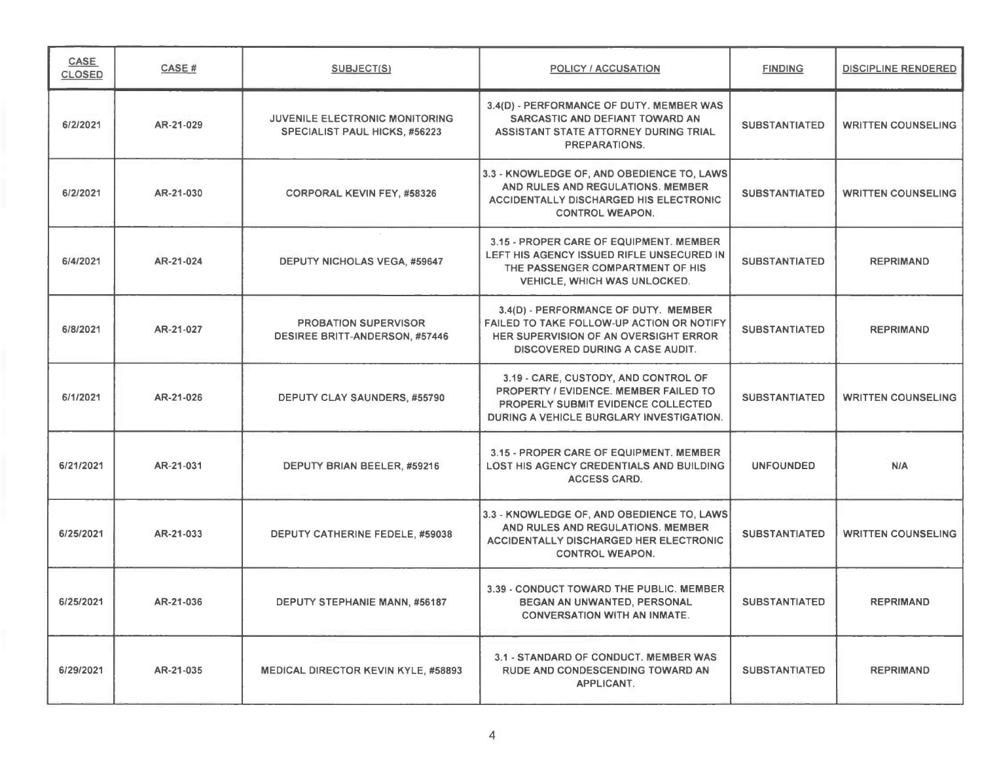| CASE<br><b>CLOSED</b> | <b>CASE#</b> | <b>SUBJECT(S)</b>                                                      | <b>POLICY / ACCUSATION</b>                                                                                                                                             | <b>FINDING</b>       | <b>DISCIPLINE RENDERED</b> |
|-----------------------|--------------|------------------------------------------------------------------------|------------------------------------------------------------------------------------------------------------------------------------------------------------------------|----------------------|----------------------------|
| 6/2/2021              | AR-21-029    | JUVENILE ELECTRONIC MONITORING<br><b>SPECIALIST PAUL HICKS, #56223</b> | 3.4(D) - PERFORMANCE OF DUTY. MEMBER WAS<br>SARCASTIC AND DEFIANT TOWARD AN<br>ASSISTANT STATE ATTORNEY DURING TRIAL<br><b>PREPARATIONS.</b>                           | <b>SUBSTANTIATED</b> | <b>WRITTEN COUNSELING</b>  |
| 6/2/2021              | AR-21-030    | <b>CORPORAL KEVIN FEY, #58326</b>                                      | 3.3 - KNOWLEDGE OF, AND OBEDIENCE TO, LAWS<br>AND RULES AND REGULATIONS. MEMBER<br><b>ACCIDENTALLY DISCHARGED HIS ELECTRONIC</b><br><b>CONTROL WEAPON.</b>             | <b>SUBSTANTIATED</b> | <b>WRITTEN COUNSELING</b>  |
| 6/4/2021              | AR-21-024    | <b>DEPUTY NICHOLAS VEGA, #59647</b>                                    | 3.15 - PROPER CARE OF EQUIPMENT. MEMBER<br>LEFT HIS AGENCY ISSUED RIFLE UNSECURED IN<br>THE PASSENGER COMPARTMENT OF HIS<br><b>VEHICLE, WHICH WAS UNLOCKED.</b>        | <b>SUBSTANTIATED</b> | <b>REPRIMAND</b>           |
| 6/8/2021              | AR-21-027    | PROBATION SUPERVISOR<br><b>DESIREE BRITT-ANDERSON, #57446</b>          | 3.4(D) - PERFORMANCE OF DUTY. MEMBER<br><b>FAILED TO TAKE FOLLOW-UP ACTION OR NOTIFY</b><br>HER SUPERVISION OF AN OVERSIGHT ERROR<br>DISCOVERED DURING A CASE AUDIT.   | <b>SUBSTANTIATED</b> | <b>REPRIMAND</b>           |
| 6/1/2021              | AR-21-026    | <b>DEPUTY CLAY SAUNDERS, #55790</b>                                    | 3.19 - CARE, CUSTODY, AND CONTROL OF<br><b>PROPERTY / EVIDENCE, MEMBER FAILED TO</b><br>PROPERLY SUBMIT EVIDENCE COLLECTED<br>DURING A VEHICLE BURGLARY INVESTIGATION. | <b>SUBSTANTIATED</b> | <b>WRITTEN COUNSELING</b>  |
| 6/21/2021             | AR-21-031    | DEPUTY BRIAN BEELER, #59216                                            | 3.15 - PROPER CARE OF EQUIPMENT. MEMBER<br><b>LOST HIS AGENCY CREDENTIALS AND BUILDING</b><br><b>ACCESS CARD.</b>                                                      | <b>UNFOUNDED</b>     | <b>N/A</b>                 |
| 6/25/2021             | AR-21-033    | DEPUTY CATHERINE FEDELE, #59038                                        | 3.3 - KNOWLEDGE OF, AND OBEDIENCE TO, LAWS<br>AND RULES AND REGULATIONS. MEMBER<br><b>ACCIDENTALLY DISCHARGED HER ELECTRONIC</b><br><b>CONTROL WEAPON.</b>             | <b>SUBSTANTIATED</b> | <b>WRITTEN COUNSELING</b>  |
| 6/25/2021             | AR-21-036    | DEPUTY STEPHANIE MANN, #56187                                          | 3.39 - CONDUCT TOWARD THE PUBLIC. MEMBER<br>BEGAN AN UNWANTED, PERSONAL<br><b>CONVERSATION WITH AN INMATE.</b>                                                         | <b>SUBSTANTIATED</b> | <b>REPRIMAND</b>           |
| 6/29/2021             | AR-21-035    | <b>MEDICAL DIRECTOR KEVIN KYLE, #58893</b>                             | 3.1 - STANDARD OF CONDUCT. MEMBER WAS<br>RUDE AND CONDESCENDING TOWARD AN<br>APPLICANT.                                                                                | <b>SUBSTANTIATED</b> | <b>REPRIMAND</b>           |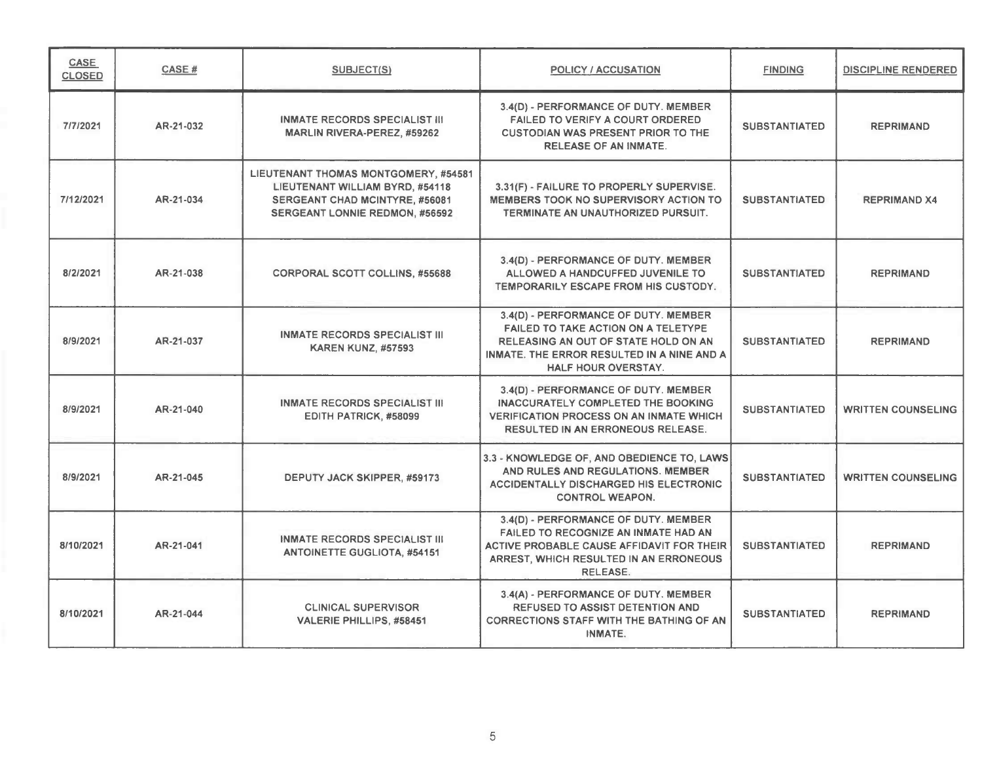| <b>CASE</b><br><b>CLOSED</b> | CASE#     | SUBJECT(S)                                                                                                                                                | <b>POLICY / ACCUSATION</b>                                                                                                                                                                           | <b>FINDING</b>       | <b>DISCIPLINE RENDERED</b> |
|------------------------------|-----------|-----------------------------------------------------------------------------------------------------------------------------------------------------------|------------------------------------------------------------------------------------------------------------------------------------------------------------------------------------------------------|----------------------|----------------------------|
| 7/7/2021                     | AR-21-032 | <b>INMATE RECORDS SPECIALIST III</b><br><b>MARLIN RIVERA-PEREZ, #59262</b>                                                                                | 3.4(D) - PERFORMANCE OF DUTY. MEMBER<br>FAILED TO VERIFY A COURT ORDERED<br><b>CUSTODIAN WAS PRESENT PRIOR TO THE</b><br><b>RELEASE OF AN INMATE.</b>                                                | <b>SUBSTANTIATED</b> | <b>REPRIMAND</b>           |
| 7/12/2021                    | AR-21-034 | LIEUTENANT THOMAS MONTGOMERY, #54581<br>LIEUTENANT WILLIAM BYRD, #54118<br><b>SERGEANT CHAD MCINTYRE, #56081</b><br><b>SERGEANT LONNIE REDMON, #56592</b> | 3.31(F) - FAILURE TO PROPERLY SUPERVISE.<br><b>MEMBERS TOOK NO SUPERVISORY ACTION TO</b><br>TERMINATE AN UNAUTHORIZED PURSUIT.                                                                       | <b>SUBSTANTIATED</b> | <b>REPRIMAND X4</b>        |
| 8/2/2021                     | AR-21-038 | <b>CORPORAL SCOTT COLLINS, #55688</b>                                                                                                                     | 3.4(D) - PERFORMANCE OF DUTY. MEMBER<br>ALLOWED A HANDCUFFED JUVENILE TO<br>TEMPORARILY ESCAPE FROM HIS CUSTODY.                                                                                     | <b>SUBSTANTIATED</b> | <b>REPRIMAND</b>           |
| 8/9/2021                     | AR-21-037 | <b>INMATE RECORDS SPECIALIST III</b><br><b>KAREN KUNZ, #57593</b>                                                                                         | 3.4(D) - PERFORMANCE OF DUTY. MEMBER<br>FAILED TO TAKE ACTION ON A TELETYPE<br>RELEASING AN OUT OF STATE HOLD ON AN<br>INMATE. THE ERROR RESULTED IN A NINE AND A<br><b>HALF HOUR OVERSTAY.</b>      | <b>SUBSTANTIATED</b> | <b>REPRIMAND</b>           |
| 8/9/2021                     | AR-21-040 | <b>INMATE RECORDS SPECIALIST III</b><br>EDITH PATRICK, #58099                                                                                             | 3.4(D) - PERFORMANCE OF DUTY. MEMBER<br><b>INACCURATELY COMPLETED THE BOOKING</b><br><b>VERIFICATION PROCESS ON AN INMATE WHICH</b><br><b>RESULTED IN AN ERRONEOUS RELEASE.</b>                      | <b>SUBSTANTIATED</b> | <b>WRITTEN COUNSELING</b>  |
| 8/9/2021                     | AR-21-045 | DEPUTY JACK SKIPPER, #59173                                                                                                                               | 3.3 - KNOWLEDGE OF, AND OBEDIENCE TO, LAWS<br>AND RULES AND REGULATIONS. MEMBER<br><b>ACCIDENTALLY DISCHARGED HIS ELECTRONIC</b><br><b>CONTROL WEAPON.</b>                                           | <b>SUBSTANTIATED</b> | <b>WRITTEN COUNSELING</b>  |
| 8/10/2021                    | AR-21-041 | INMATE RECORDS SPECIALIST III<br><b>ANTOINETTE GUGLIOTA, #54151</b>                                                                                       | 3.4(D) - PERFORMANCE OF DUTY. MEMBER<br><b>FAILED TO RECOGNIZE AN INMATE HAD AN</b><br><b>ACTIVE PROBABLE CAUSE AFFIDAVIT FOR THEIR</b><br>ARREST, WHICH RESULTED IN AN ERRONEOUS<br><b>RELEASE.</b> | <b>SUBSTANTIATED</b> | <b>REPRIMAND</b>           |
| 8/10/2021                    | AR-21-044 | <b>CLINICAL SUPERVISOR</b><br>VALERIE PHILLIPS, #58451                                                                                                    | 3.4(A) - PERFORMANCE OF DUTY. MEMBER<br><b>REFUSED TO ASSIST DETENTION AND</b><br><b>CORRECTIONS STAFF WITH THE BATHING OF AN</b><br><b>INMATE.</b>                                                  | <b>SUBSTANTIATED</b> | <b>REPRIMAND</b>           |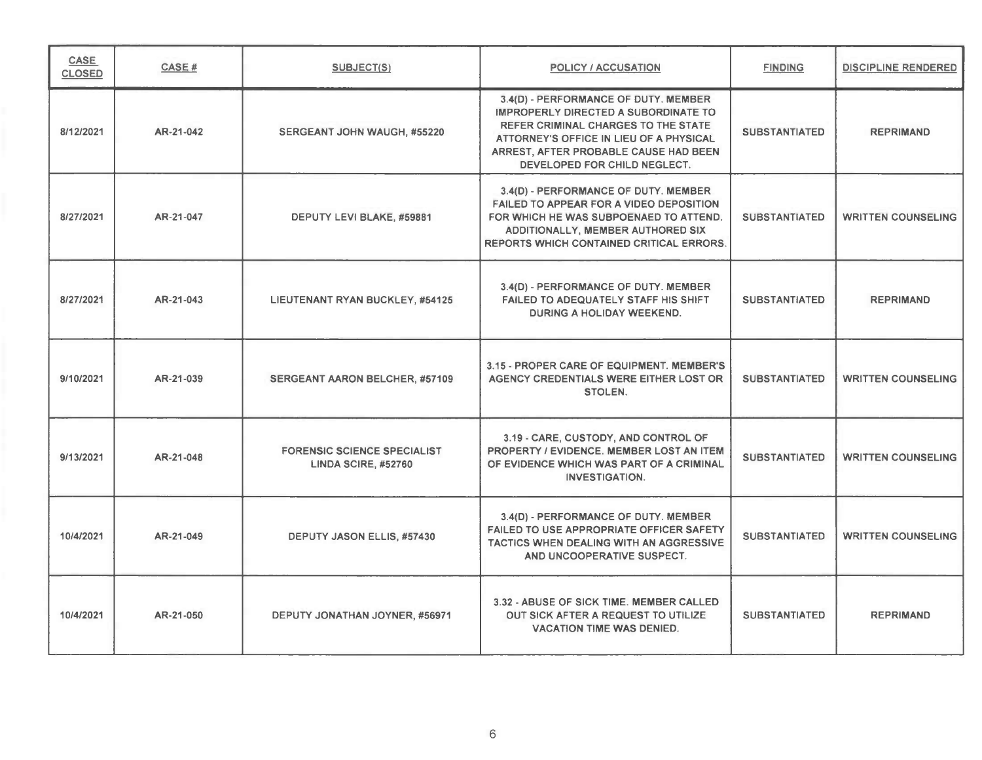| CASE<br><b>CLOSED</b> | CASE #    | SUBJECT(S)                                                | POLICY / ACCUSATION                                                                                                                                                                                                                            | <b>FINDING</b>       | <b>DISCIPLINE RENDERED</b> |
|-----------------------|-----------|-----------------------------------------------------------|------------------------------------------------------------------------------------------------------------------------------------------------------------------------------------------------------------------------------------------------|----------------------|----------------------------|
| 8/12/2021             | AR-21-042 | SERGEANT JOHN WAUGH, #55220                               | 3.4(D) - PERFORMANCE OF DUTY. MEMBER<br>IMPROPERLY DIRECTED A SUBORDINATE TO<br><b>REFER CRIMINAL CHARGES TO THE STATE</b><br>ATTORNEY'S OFFICE IN LIEU OF A PHYSICAL<br>ARREST, AFTER PROBABLE CAUSE HAD BEEN<br>DEVELOPED FOR CHILD NEGLECT. | <b>SUBSTANTIATED</b> | <b>REPRIMAND</b>           |
| 8/27/2021             | AR-21-047 | DEPUTY LEVI BLAKE, #59881                                 | 3.4(D) - PERFORMANCE OF DUTY. MEMBER<br>FAILED TO APPEAR FOR A VIDEO DEPOSITION<br>FOR WHICH HE WAS SUBPOENAED TO ATTEND.<br>ADDITIONALLY, MEMBER AUTHORED SIX<br><b>REPORTS WHICH CONTAINED CRITICAL ERRORS.</b>                              | <b>SUBSTANTIATED</b> | <b>WRITTEN COUNSELING</b>  |
| 8/27/2021             | AR-21-043 | LIEUTENANT RYAN BUCKLEY, #54125                           | 3.4(D) - PERFORMANCE OF DUTY. MEMBER<br><b>FAILED TO ADEQUATELY STAFF HIS SHIFT</b><br>DURING A HOLIDAY WEEKEND.                                                                                                                               | <b>SUBSTANTIATED</b> | <b>REPRIMAND</b>           |
| 9/10/2021             | AR-21-039 | <b>SERGEANT AARON BELCHER, #57109</b>                     | 3.15 - PROPER CARE OF EQUIPMENT. MEMBER'S<br>AGENCY CREDENTIALS WERE EITHER LOST OR<br>STOLEN.                                                                                                                                                 | <b>SUBSTANTIATED</b> | <b>WRITTEN COUNSELING</b>  |
| 9/13/2021             | AR-21-048 | <b>FORENSIC SCIENCE SPECIALIST</b><br>LINDA SCIRE, #52760 | 3.19 - CARE, CUSTODY, AND CONTROL OF<br>PROPERTY / EVIDENCE. MEMBER LOST AN ITEM<br>OF EVIDENCE WHICH WAS PART OF A CRIMINAL<br><b>INVESTIGATION.</b>                                                                                          | <b>SUBSTANTIATED</b> | <b>WRITTEN COUNSELING</b>  |
| 10/4/2021             | AR-21-049 | <b>DEPUTY JASON ELLIS, #57430</b>                         | 3.4(D) - PERFORMANCE OF DUTY. MEMBER<br><b>FAILED TO USE APPROPRIATE OFFICER SAFETY</b><br>TACTICS WHEN DEALING WITH AN AGGRESSIVE<br>AND UNCOOPERATIVE SUSPECT.                                                                               | <b>SUBSTANTIATED</b> | <b>WRITTEN COUNSELING</b>  |
| 10/4/2021             | AR-21-050 | DEPUTY JONATHAN JOYNER, #56971                            | 3.32 - ABUSE OF SICK TIME, MEMBER CALLED<br>OUT SICK AFTER A REQUEST TO UTILIZE<br><b>VACATION TIME WAS DENIED.</b>                                                                                                                            | <b>SUBSTANTIATED</b> | <b>REPRIMAND</b>           |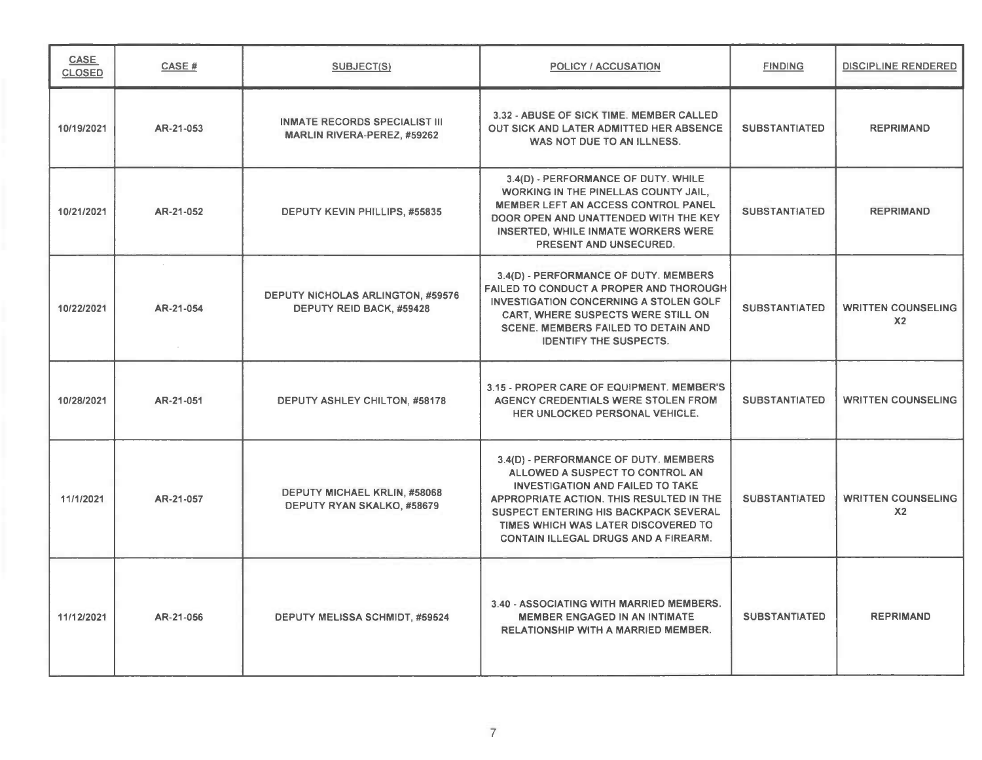| CASE<br><b>CLOSED</b> | CASE#     | <b>SUBJECT(S)</b>                                                          | <b>POLICY / ACCUSATION</b>                                                                                                                                                                                                                                                                            | <b>FINDING</b>       | <b>DISCIPLINE RENDERED</b>                  |
|-----------------------|-----------|----------------------------------------------------------------------------|-------------------------------------------------------------------------------------------------------------------------------------------------------------------------------------------------------------------------------------------------------------------------------------------------------|----------------------|---------------------------------------------|
| 10/19/2021            | AR-21-053 | <b>INMATE RECORDS SPECIALIST III</b><br><b>MARLIN RIVERA-PEREZ, #59262</b> | 3.32 - ABUSE OF SICK TIME. MEMBER CALLED<br>OUT SICK AND LATER ADMITTED HER ABSENCE<br>WAS NOT DUE TO AN ILLNESS.                                                                                                                                                                                     | <b>SUBSTANTIATED</b> | <b>REPRIMAND</b>                            |
| 10/21/2021            | AR-21-052 | DEPUTY KEVIN PHILLIPS, #55835                                              | 3.4(D) - PERFORMANCE OF DUTY. WHILE<br>WORKING IN THE PINELLAS COUNTY JAIL,<br><b>MEMBER LEFT AN ACCESS CONTROL PANEL</b><br>DOOR OPEN AND UNATTENDED WITH THE KEY<br>INSERTED, WHILE INMATE WORKERS WERE<br>PRESENT AND UNSECURED.                                                                   | <b>SUBSTANTIATED</b> | <b>REPRIMAND</b>                            |
| 10/22/2021            | AR-21-054 | <b>DEPUTY NICHOLAS ARLINGTON, #59576</b><br>DEPUTY REID BACK, #59428       | 3.4(D) - PERFORMANCE OF DUTY. MEMBERS<br>FAILED TO CONDUCT A PROPER AND THOROUGH<br><b>INVESTIGATION CONCERNING A STOLEN GOLF</b><br><b>CART, WHERE SUSPECTS WERE STILL ON</b><br><b>SCENE. MEMBERS FAILED TO DETAIN AND</b><br><b>IDENTIFY THE SUSPECTS.</b>                                         | <b>SUBSTANTIATED</b> | <b>WRITTEN COUNSELING</b><br>X <sub>2</sub> |
| 10/28/2021            | AR-21-051 | <b>DEPUTY ASHLEY CHILTON, #58178</b>                                       | 3.15 - PROPER CARE OF EQUIPMENT. MEMBER'S<br>AGENCY CREDENTIALS WERE STOLEN FROM<br>HER UNLOCKED PERSONAL VEHICLE.                                                                                                                                                                                    | <b>SUBSTANTIATED</b> | <b>WRITTEN COUNSELING</b>                   |
| 11/1/2021             | AR-21-057 | DEPUTY MICHAEL KRLIN, #58068<br>DEPUTY RYAN SKALKO, #58679                 | 3.4(D) - PERFORMANCE OF DUTY. MEMBERS<br>ALLOWED A SUSPECT TO CONTROL AN<br><b>INVESTIGATION AND FAILED TO TAKE</b><br>APPROPRIATE ACTION. THIS RESULTED IN THE<br><b>SUSPECT ENTERING HIS BACKPACK SEVERAL</b><br>TIMES WHICH WAS LATER DISCOVERED TO<br><b>CONTAIN ILLEGAL DRUGS AND A FIREARM.</b> | <b>SUBSTANTIATED</b> | <b>WRITTEN COUNSELING</b><br>X <sub>2</sub> |
| 11/12/2021            | AR-21-056 | DEPUTY MELISSA SCHMIDT, #59524                                             | 3.40 - ASSOCIATING WITH MARRIED MEMBERS.<br><b>MEMBER ENGAGED IN AN INTIMATE</b><br>RELATIONSHIP WITH A MARRIED MEMBER.                                                                                                                                                                               | <b>SUBSTANTIATED</b> | <b>REPRIMAND</b>                            |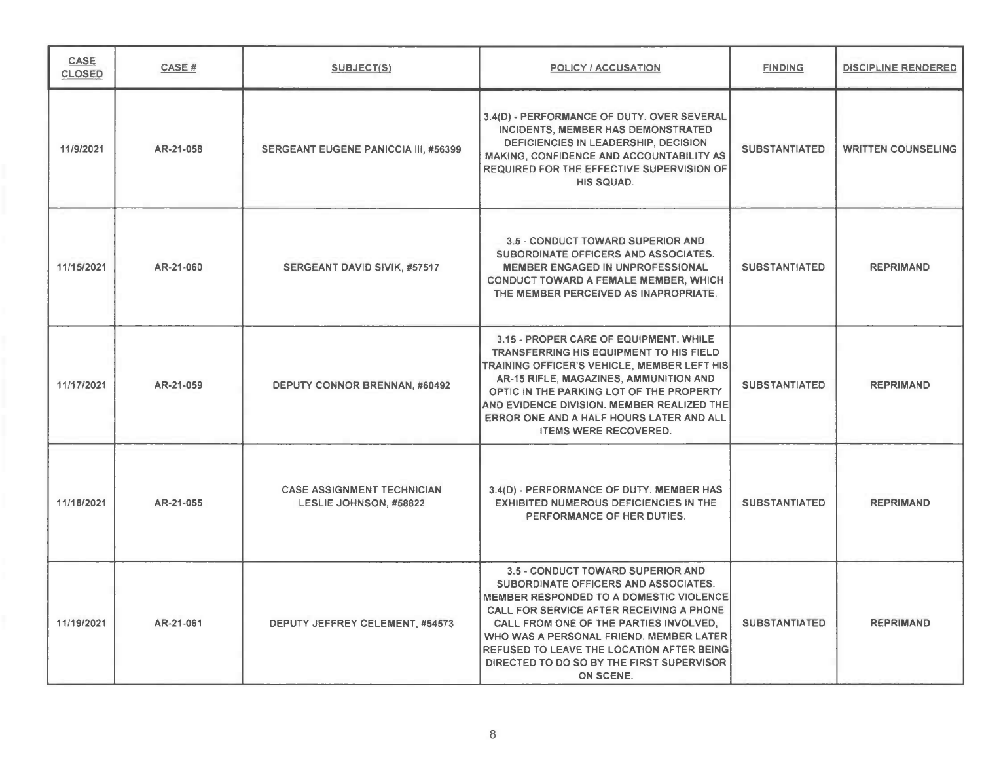| <b>CASE</b><br><b>CLOSED</b> | CASE#     | SUBJECT(S)                                                  | <b>POLICY / ACCUSATION</b>                                                                                                                                                                                                                                                                                                                                                 | <b>FINDING</b>       | <b>DISCIPLINE RENDERED</b> |
|------------------------------|-----------|-------------------------------------------------------------|----------------------------------------------------------------------------------------------------------------------------------------------------------------------------------------------------------------------------------------------------------------------------------------------------------------------------------------------------------------------------|----------------------|----------------------------|
| 11/9/2021                    | AR-21-058 | <b>SERGEANT EUGENE PANICCIA III, #56399</b>                 | 3.4(D) - PERFORMANCE OF DUTY. OVER SEVERAL<br>INCIDENTS, MEMBER HAS DEMONSTRATED<br>DEFICIENCIES IN LEADERSHIP, DECISION<br><b>MAKING, CONFIDENCE AND ACCOUNTABILITY AS</b><br>REQUIRED FOR THE EFFECTIVE SUPERVISION OF<br>HIS SQUAD.                                                                                                                                     | <b>SUBSTANTIATED</b> | <b>WRITTEN COUNSELING</b>  |
| 11/15/2021                   | AR-21-060 | SERGEANT DAVID SIVIK, #57517                                | 3.5 - CONDUCT TOWARD SUPERIOR AND<br>SUBORDINATE OFFICERS AND ASSOCIATES.<br>MEMBER ENGAGED IN UNPROFESSIONAL<br><b>CONDUCT TOWARD A FEMALE MEMBER, WHICH</b><br>THE MEMBER PERCEIVED AS INAPROPRIATE.                                                                                                                                                                     | <b>SUBSTANTIATED</b> | <b>REPRIMAND</b>           |
| 11/17/2021                   | AR-21-059 | DEPUTY CONNOR BRENNAN, #60492                               | 3.15 - PROPER CARE OF EQUIPMENT. WHILE<br><b>TRANSFERRING HIS EQUIPMENT TO HIS FIELD</b><br>TRAINING OFFICER'S VEHICLE, MEMBER LEFT HIS<br>AR-15 RIFLE, MAGAZINES, AMMUNITION AND<br>OPTIC IN THE PARKING LOT OF THE PROPERTY<br>AND EVIDENCE DIVISION. MEMBER REALIZED THE<br>ERROR ONE AND A HALF HOURS LATER AND ALL<br><b>ITEMS WERE RECOVERED.</b>                    | <b>SUBSTANTIATED</b> | <b>REPRIMAND</b>           |
| 11/18/2021                   | AR-21-055 | <b>CASE ASSIGNMENT TECHNICIAN</b><br>LESLIE JOHNSON, #58822 | 3.4(D) - PERFORMANCE OF DUTY. MEMBER HAS<br><b>EXHIBITED NUMEROUS DEFICIENCIES IN THE</b><br>PERFORMANCE OF HER DUTIES.                                                                                                                                                                                                                                                    | <b>SUBSTANTIATED</b> | <b>REPRIMAND</b>           |
| 11/19/2021                   | AR-21-061 | DEPUTY JEFFREY CELEMENT, #54573                             | 3.5 - CONDUCT TOWARD SUPERIOR AND<br>SUBORDINATE OFFICERS AND ASSOCIATES.<br><b>MEMBER RESPONDED TO A DOMESTIC VIOLENCE</b><br>CALL FOR SERVICE AFTER RECEIVING A PHONE<br>CALL FROM ONE OF THE PARTIES INVOLVED.<br>WHO WAS A PERSONAL FRIEND. MEMBER LATER<br>REFUSED TO LEAVE THE LOCATION AFTER BEING<br>DIRECTED TO DO SO BY THE FIRST SUPERVISOR<br><b>ON SCENE.</b> | <b>SUBSTANTIATED</b> | <b>REPRIMAND</b>           |